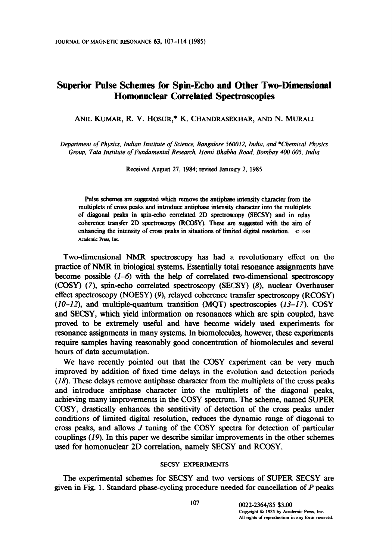# Superior Pulse Schemes for Spin-Echo and Other Two-Dimensional Homonuclear Correlated Spectroscopies

ANIL KUMAR, R. V. HOSUR,\* K. CHANDRASEWAR, AND N. MURALI

Department of Physics, Indian Institute of Science, Bangalore 560012, India, and \*Chemical Physics Group, Tata Institute of Fundamental Research, Homi Bhabha Road, Bombay 400 005, India

Received August 27, 1984; revised January 2, 1985

Pulse schemes are suggested which remove the antiphase intensity character from the multiplets of cross peaks and introduce antiphase intensity character into the multiplets of diagonal peaks in spinecho correlated 2D spectroscopy (SECSY) and in relay coherence transfer 2D spectroscopy (RCOSY). These are suggested with the aim of enhancing the intensity of cross peaks in situations of limited digital resolution.  $\circ$  1985 Academic Press, Inc.

Two-dimensional NMR spectroscopy has had a revolutionary effect on the practice of NMR in biological systems. Essentially total resonance assignments have become possible  $(1-6)$  with the help of correlated two-dimensional spectroscopy (COSY) (7), spin-echo correlated spectroscopy (SECSY) (8), nuclear Overhauser effect spectroscopy (NOESY) (9), relayed coherence transfer spectroscopy (RCOSY)  $(10-12)$ , and multiple-quantum transition (MOT) spectroscopies  $(13-17)$ . COSY and SECSY, which yield information on resonances which are spin coupled, have proved to be extremely useful and have become widely used experiments for resonance assignments in many systems. In biomolecules, however, these experiments require samples having reasonably good concentration of biomolecules and several hours of data accumulation.

We have recently pointed out that the COSY experiment can be very much improved by addition of fixed time delays in the evolution and detection periods (18). These delays remove antiphase character from the multiplets of the cross peaks and introduce antiphase character into the multiplets of the diagonal peaks, achieving many improvements in the COSY spectrum. The scheme, named SUPER COSY, drastically enhances the sensitivity of detection of the cross peaks under conditions of limited digital resolution, reduces the dynamic range of diagonal to cross peaks, and allows J tuning of the COSY spectra for detection of particular couplings  $(19)$ . In this paper we describe similar improvements in the other schemes used for homonuclear 2D correlation, namely SECSY and RCOSY.

### SECSY EXPERIMENTS

The experimental schemes for SECSY and two versions of SUPER SECSY are given in Fig. 1. Standard phase-cycling procedure needed for cancellation of P peaks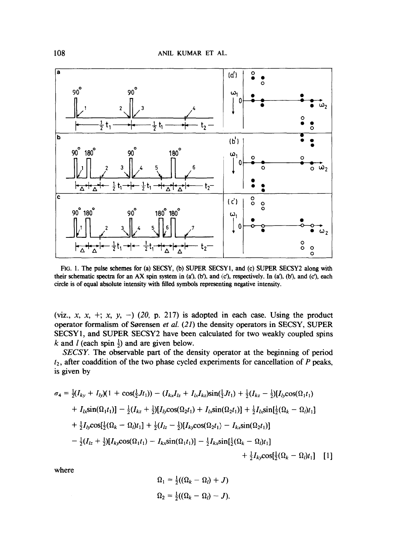

FIG. 1. The pulse schemes for (a) SECSY, (b) SUPER SECSY1, and (c) SUPER SECSY2 along with their schematic spectra for an AX spin system in  $(a')$ ,  $(b')$ , and  $(c')$ , respectively. In  $(a')$ ,  $(b')$ , and  $(c')$ , each circle is of equal absolute intensity with 6lled symbols representing negative intensity.

(viz., x, x, +; x, y, -) (20, p. 217) is adopted in each case. Using the product operator formalism of Sorensen et al. (21) the density operators in SECSY, SUPER SECSY 1, and SUPER SECSY2 have been calculated for two weakly coupled spins k and l (each spin  $\frac{1}{2}$ ) and are given below.

SECSY. The observable part of the density operator at the beginning of period  $t_2$ , after coaddition of the two phase cycled experiments for cancellation of P peaks, is given by

$$
\sigma_4 = \frac{1}{2}(I_{ky} + I_{ly})(1 + \cos(\frac{1}{2}Jt_1)) - (I_{kx}I_{lz} + I_{lx}I_{kz})\sin(\frac{1}{2}Jt_1) + \frac{1}{2}(I_{kz} - \frac{1}{2})[I_{ly}\cos(\Omega_1t_1) + I_{lx}\sin(\Omega_1t_1)] - \frac{1}{2}(I_{kz} + \frac{1}{2})[I_{ly}\cos(\Omega_2t_1) + I_{lx}\sin(\Omega_2t_1)] + \frac{1}{2}I_{lx}\sin(\frac{1}{2}(\Omega_k - \Omega_l)t_1] + \frac{1}{2}I_{ly}\cos[\frac{1}{2}(\Omega_k - \Omega_l)t_1] + \frac{1}{2}(I_{lz} - \frac{1}{2})[I_{ky}\cos(\Omega_2t_1) - I_{kx}\sin(\Omega_2t_1)] - \frac{1}{2}(I_{lz} + \frac{1}{2})[I_{kj}\cos(\Omega_1t_1) - I_{kx}\sin(\Omega_1t_1)] - \frac{1}{2}I_{kx}\sin[\frac{1}{2}(\Omega_k - \Omega_l)t_1] + \frac{1}{2}I_{kv}\cos[\frac{1}{2}(\Omega_k - \Omega_l)t_1]
$$
[1]

where

$$
\Omega_1 = \frac{1}{2}((\Omega_k - \Omega_l) + J)
$$
  

$$
\Omega_2 = \frac{1}{2}((\Omega_k - \Omega_l) - J).
$$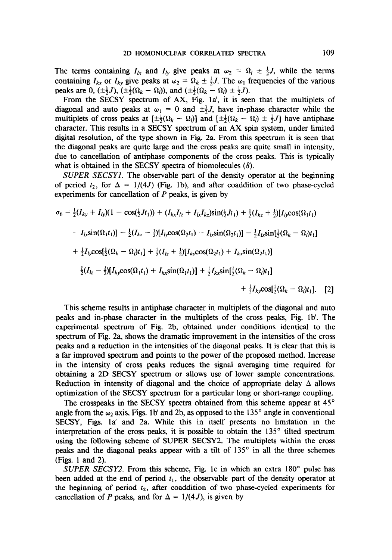The terms containing  $I_{1x}$  and  $I_{1y}$  give peaks at  $\omega_2 = \Omega_l \pm \frac{1}{2}J$ , while the terms containing  $I_{kx}$  or  $I_{ky}$  give peaks at  $\omega_2 = \Omega_k \pm \frac{1}{2}J$ . The  $\omega_1$  frequencies of the various peaks are 0,  $(\pm \frac{1}{2}J)$ ,  $(\pm \frac{1}{2}(\Omega_k - \Omega_l))$ , and  $(\pm \frac{1}{2}(\Omega_k - \Omega_l) \pm \frac{1}{2}J)$ .

From the SECSY spectrum of AX, Fig. la', it is seen that the multiplets of diagonal and auto peaks at  $\omega_1 = 0$  and  $\pm \frac{1}{2}J$ , have in-phase character while the multiplets of cross peaks at  $[\pm \frac{1}{2}(\Omega_k - \Omega_l)]$  and  $[\pm \frac{1}{2}(\Omega_k - \Omega_l) \pm \frac{1}{2}J]$  have antiphase character. This results in a SECSY spectrum of an AX spin system, under limited digital resolution, of the type shown in Fig. 2a. From this spectrum it is seen that the diagonal peaks are quite large and the cross peaks are quite small in intensity, due to cancellation of antiphase components of the cross peaks. This is typically what is obtained in the SECSY spectra of biomolecules (8).

SUPER SECSYl. The observable part of the density operator at the beginning of period  $t_2$ , for  $\Delta = 1/(4J)$  (Fig. 1b), and after coaddition of two phase-cycled experiments for cancellation of  $P$  peaks, is given by

$$
\sigma_6 = \frac{1}{2}(I_{ky} + I_{ly})(1 - \cos(\frac{1}{2}Jt_1)) + (I_{kx}I_{lz} + I_{lx}I_{kz})\sin(\frac{1}{2}Jt_1) + \frac{1}{2}(I_{kz} + \frac{1}{2})[I_{ly}\cos(\Omega_1 t_1) - I_{lx}\sin(\Omega_1 t_1)] - \frac{1}{2}(I_{kz} - \frac{1}{2})[I_{ly}\cos(\Omega_2 t_1) - I_{lx}\sin(\Omega_2 t_1)] - \frac{1}{2}I_{lx}\sin(\frac{1}{2}(\Omega_k - \Omega_l)t_1] + \frac{1}{2}I_{ly}\cos(\frac{1}{2}(\Omega_k - \Omega_l)t_1] + \frac{1}{2}(I_{lz} + \frac{1}{2})[I_{ky}\cos(\Omega_2 t_1) + I_{kx}\sin(\Omega_2 t_1)] - \frac{1}{2}(I_{lz} - \frac{1}{2})[I_{ky}\cos(\Omega_1 t_1) + I_{kx}\sin(\Omega_1 t_1)] + \frac{1}{2}I_{kx}\sin(\frac{1}{2}(\Omega_k - \Omega_l)t_1] + \frac{1}{2}I_{ky}\cos(\frac{1}{2}(\Omega_k - \Omega_l)t_1].
$$
 [2]

This scheme results in antiphase character in multiplets of the diagonal and auto peaks and in-phase character in the multiplets of the cross peaks, Fig. lb'. The experimental spectrum of Fig. 2b, obtained under conditions identical to the spectrum of Fig. 2a, shows the dramatic improvement in the intensities of the cross peaks and a reduction in the intensities of the diagonal peaks. It is clear that this is a far improved spectrum and points to the power of' the proposed method. Increase in the intensity of cross peaks reduces the signal averaging time required for obtaining a 2D SECSY spectrum or allows use of lower sample concentrations. Reduction in intensity of diagonal and the choice of appropriate delay  $\Delta$  allows optimization of the SECSY spectrum for a particular long or short-range coupling.

The crosspeaks in the SECSY spectra obtained from this scheme appear at 45<sup>°</sup> angle from the  $\omega_2$  axis, Figs. 1b' and 2b, as opposed to the 135° angle in conventional SECSY, Figs. la' and 2a. While this in itself presents no limitation in the interpretation of the cross peaks, it is possible to obtain the  $135^\circ$  tilted spectrum using the following scheme of SUPER SECSY2. The multiplets within the cross peaks and the diagonal peaks appear with a tilt of 135" in all the three schemes (Figs. 1 and 2).

SUPER SECSY2. From this scheme, Fig. 1c in which an extra  $180^\circ$  pulse has been added at the end of period  $t_1$ , the observable part of the density operator at the beginning of period  $t_2$ , after coaddition of two phase-cycled experiments for cancellation of P peaks, and for  $\Delta = 1/(4J)$ , is given by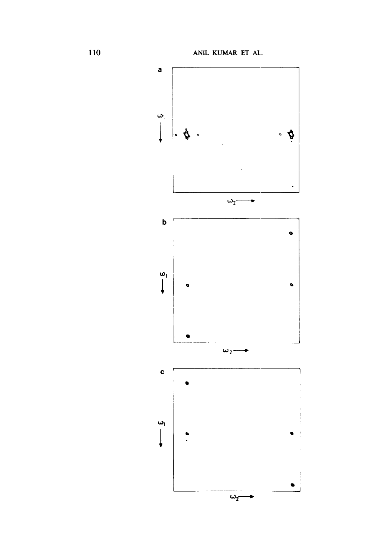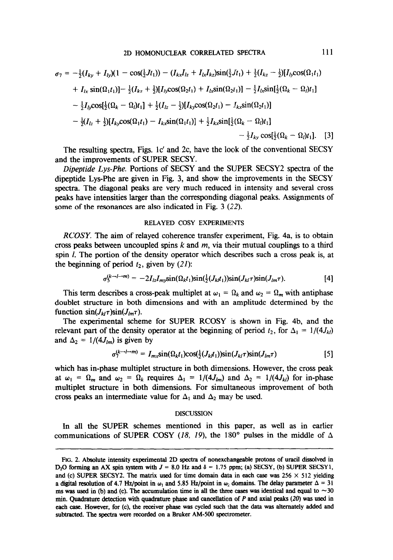$$
\sigma_7 = -\frac{1}{2}(I_{ky} + I_{ly})(1 - \cos(\frac{1}{2}Jt_1)) - (I_{kx}I_{lz} + I_{lx}I_{kz})\sin(\frac{1}{2}Jt_1) + \frac{1}{2}(I_{kz} - \frac{1}{2})[I_{ly}\cos(\Omega_1t_1) + I_{lx}\sin(\Omega_1t_1)] - \frac{1}{2}(I_{kz} + \frac{1}{2})[I_{ly}\cos(\Omega_2t_1) + I_{lx}\sin(\Omega_2t_1)] - \frac{1}{2}I_{lx}\sin[\frac{1}{2}(\Omega_k - \Omega_l)t_1] - \frac{1}{2}I_{ly}\cos[\frac{1}{2}(\Omega_k - \Omega_l)t_1] + \frac{1}{2}(I_{lz} - \frac{1}{2})[I_{ky}\cos(\Omega_2t_1) - I_{kx}\sin(\Omega_2t_1)] - \frac{1}{2}(I_{lz} + \frac{1}{2})[I_{ky}\cos(\Omega_1t_1) - I_{kx}\sin(\Omega_1t_1)] + \frac{1}{2}I_{kx}\sin[\frac{1}{2}(\Omega_k - \Omega_l)t_1] - \frac{1}{2}I_{ky}\cos[\frac{1}{2}(\Omega_k - \Omega_l)t_1].
$$
 [3]

The resulting spectra, Figs. lc' and 2c, have the look of the conventional SECSY and the improvements of SUPER SECSY.

Dipeptide Lys-Phe. Portions of SECSY and the SIJPER SECSY2 spectra of the dipeptide Lys-Phe are given in Fig. 3, and show the improvements in the SECSY spectra. The diagonal peaks are very much reduced in intensity and several cross peaks have intensities larger than the corresponding diagonal peaks. Assignments of some of the resonances are also indicated in Fig.  $3$  ( $22$ ).

#### RELAYED COSY EXPERIMENTS

RCOSY. The aim of relayed coherence transfer experiment, Fig. 4a, is to obtain cross peaks between uncoupled spins  $k$  and  $m$ , via their mutual couplings to a third spin *l*. The portion of the density operator which describes such a cross peak is, at the beginning of period  $t_2$ , given by (21):

$$
\sigma_5^{(k\rightarrow l\rightarrow m)} = -2I_{lz}I_{my}\sin(\Omega_k t_1)\sin(\frac{1}{2}(J_{kl}t_1))\sin(J_{kl}\tau)\sin(J_{lm}\tau). \tag{4}
$$

This term describes a cross-peak multiplet at  $\omega_1 = \Omega_k$  and  $\omega_2 = \Omega_m$  with antiphase doublet structure in both dimensions and with an amplitude determined by the function  $sin(J_{kl}\tau)sin(J_{lm}\tau)$ .

The experimental scheme for SUPER RCOSY is shown in Fig. 4b, and the relevant part of the density operator at the beginning of period  $t_2$ , for  $\Delta_1 = 1/(4J_{kl})$ and  $\Delta_2 = 1/(4J_{lm})$  is given by

$$
\sigma_7^{(k-1-m)} = I_{mx} \sin(\Omega_k t_1) \cos(\frac{1}{2}(J_{kl}t_1)) \sin(J_{kl}\tau) \sin(J_{lm}\tau)
$$
 [5]

which has in-phase multiplet structure in both dimensions. However, the cross peak at  $\omega_1 = \Omega_m$  and  $\omega_2 = \Omega_k$  requires  $\Delta_1 = 1/(4J_{lm})$  and  $\Delta_2 = 1/(4J_{kl})$  for in-phase multiplet structure in both dimensions. For simultaneous improvement of both cross peaks an intermediate value for  $\Delta_1$  and  $\Delta_2$  may be used.

### **DISCUSSION**

In all the SUPER schemes mentioned in this paper, as well as in earlier communications of SUPER COSY (18, 19), the 180° pulses in the middle of  $\Delta$ 

FIG. 2. Absolute intensity experimental 2D spectra of nonexchangeable protons of uracil dissolved in D<sub>2</sub>O forming an AX spin system with  $J = 8.0$  Hz and  $\delta = 1.75$  ppm; (a) SECSY, (b) SUPER SECSY1, and (c) SUPER SECSY2. The matrix used for time domain data in each case was  $256 \times 512$  yielding a digital resolution of 4.7 Hz/point in  $\omega_1$  and 5.85 Hz/point in  $\omega_2$  domains. The delay parameter  $\Delta = 31$ ms was used in (b) and (c). The accumulation time in all the three cases was identical and equal to  $\sim$ 30 min. Quadrature detection with quadrature phase and cancellation of P and axial peaks (20) was used in each case. However, for (c), the receiver phase was cycled such that the data was alternately added and subtracted. The spectra were recorded on a Bruker AM-500 spectrometer.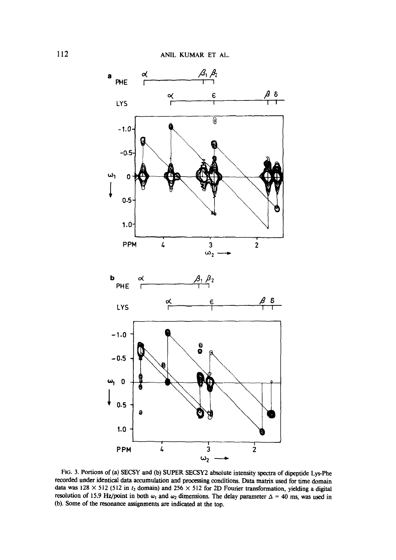

FIG. 3. Portions of (a) SECSY and (b) SUPER SECSY2 absolute intensity spectra of dipeptide Lys-Phe recorded under identical data accumulation and processing conditions. Data matrix used for time domain data was 128  $\times$  512 (512 in  $t_2$  domain) and 256  $\times$  512 for 2D Fourier transformation, yielding a digital resolution of 15.9 Hz/point in both  $\omega_1$  and  $\omega_2$  dimensions. The delay parameter  $\Delta = 40$  ms, was used in (b). Some of the resonance assignments are indicated at the top.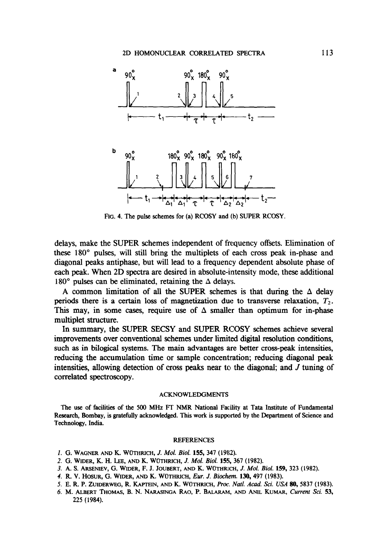

FIG. 4. The pulse schemes for (a) RCOSY and (b) SUPER RCOSY.

delays, make the SUPER schemes independent of frequency offsets. Elimination of these 180" pulses, will still bring the multiplets of each cross peak in-phase and diagonal peaks antiphase, but will lead to a frequency dependent absolute phase of each peak. When 2D spectra are desired in absolute-intensity mode, these additional 180 $^{\circ}$  pulses can be eliminated, retaining the  $\Delta$  delays.

A common limitation of all the SUPER schemes is that during the  $\Delta$  delay periods there is a certain loss of magnetization due to transverse relaxation,  $T_2$ . This may, in some cases, require use of  $\Delta$  smaller than optimum for in-phase multiplet structure.

In summary, the SUPER SECSY and SUPER RCOSY schemes achieve several improvements over conventional schemes under limited digital resolution conditions, such as in bilogical systems. The main advantages are better cross-peak intensities, reducing the accumulation time or sample concentration; reducing diagonal peak intensities, allowing detection of cross peaks near to the diagonal; and  $J$  tuning of correlated spectroscopy.

#### ACKNOWLEDGMENTS

The use of facilities of the 500 MHz FI' NMR National Faciity at Tata Institute of Fundamental Research, Bombay, is gratefully acknowledged. This work is supported by the Department of Science and Technology, India.

#### REFERENCES

- 1. G. WAGNER AND K. WÜTHRICH, J. Mol. Biol. 155, 347 (1982).
- 2. G. WIDER, K. H. LEE, AND K. WOTHRICH, J. Mol. Biol. 155, 367 (1982).
- 3. A. S. ARSENIEV, G. WIDER, F. J. JOUBERT, AND K. WUTHRICH, J. Mol. Biol. 159, 323 (1982).
- 4. R. V. HOSUR, G. WIDER, AND K. WUTHRICH, Eur. J. Biochem. 130,497 (1983).
- 5. E. R. P. ZUIDERWEG, R. KAFTEIN, AND K. WUTHRICH, Proc:. Natl. Acud. Sci. USA 80, 5837 (1983).
- 6. M. ALBERT THOMAS, B. N. NARASINGA RAO, P. BALARAM, AND ANIL KUMAR, Current Sci. 53, 225 (1984).